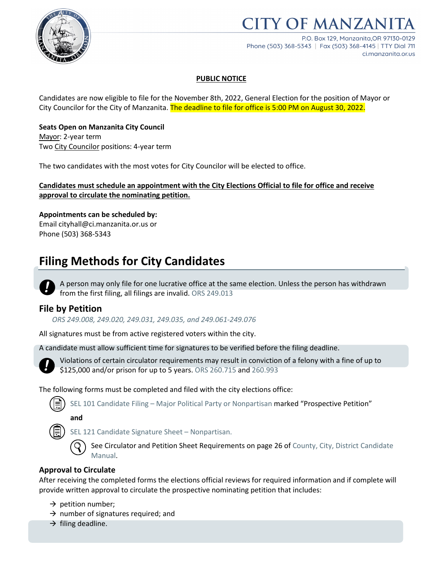

# **ITY OF MANZAN**

P.O. Box 129, Manzanita.OR 97130-0129 Phone (503) 368-5343 | Fax (503) 368-4145 | TTY Dial 711 ci.manzanita.or.us

#### **PUBLIC NOTICE**

Candidates are now eligible to file for the November 8th, 2022, General Election for the position of Mayor or City Councilor for the City of Manzanita. The deadline to file for office is 5:00 PM on August 30, 2022.

#### **Seats Open on Manzanita City Council**

Mayor: 2-year term Two City Councilor positions: 4-year term

The two candidates with the most votes for City Councilor will be elected to office.

#### **Candidates must schedule an appointment with the City Elections Official to file for office and receive approval to circulate the nominating petition.**

### **Appointments can be scheduled by:**

Email cityhall@ci.manzanita.or.us or Phone (503) 368-5343

## **Filing Methods for City Candidates**

A person may only file for one lucrative office at the same election. Unless the person has withdrawn from the first filing, all filings are invalid. ORS 249.013

#### **File by Petition**

*ORS 249.008, 249.020, 249.031, 249.035, and 249.061-249.076*

All signatures must be from active registered voters within the city.

A candidate must allow sufficient time for signatures to be verified before the filing deadline.



Violations of certain circulator requirements may result in conviction of a felony with a fine of up to \$125,000 and/or prison for up to 5 years. ORS 260.715 and 260.993

The following forms must be completed and filed with the city elections office:

SEL 101 Candidate Filing – [Major Political Party or Nonpartisan](https://sos.oregon.gov/elections/Documents/SEL101.pdf) marked "Prospective Petition"

**and**

[SEL 121 Candidate Signature Sheet –](https://sos.oregon.gov/elections/Documents/SEL121.pdf) Nonpartisan.

See Circulator and Petition Sheet Requirements on page 26 of County, City, District Candidate [Manual.](https://sos.oregon.gov/elections/Documents/county-city-district-candidates.pdf)

#### **Approval to Circulate**

After receiving the completed forms the elections official reviews for required information and if complete will provide written approval to circulate the prospective nominating petition that includes:

- $\rightarrow$  petition number;
- $\rightarrow$  number of signatures required; and
- $\rightarrow$  filing deadline.